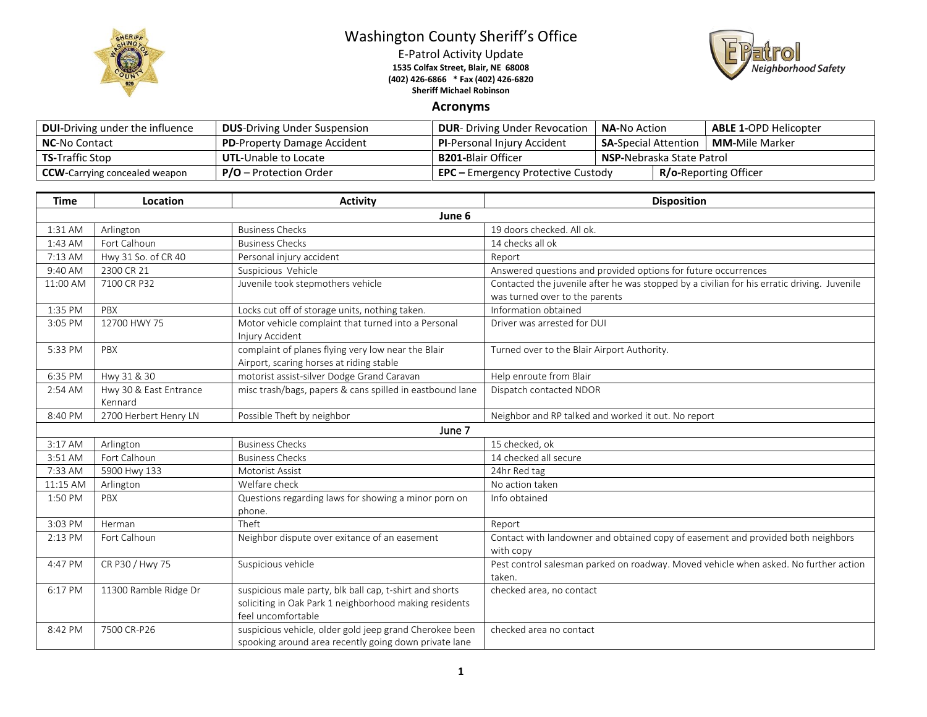

## Washington County Sheriff's Office

E-Patrol Activity Update **1535 Colfax Street, Blair, NE 68008 (402) 426-6866 \* Fax (402) 426-6820 Sheriff Michael Robinson**



## **Acronyms**

| <b>DUI-Driving under the influence</b> | <b>DUS-Driving Under Suspension</b> | <b>DUR-</b> Driving Under Revocation                                 | <b>NA-</b> No Action                                  |  | <b>ABLE 1-OPD Helicopter</b> |
|----------------------------------------|-------------------------------------|----------------------------------------------------------------------|-------------------------------------------------------|--|------------------------------|
| <b>NC-No Contact</b>                   | <b>PD-Property Damage Accident</b>  | <b>PI-Personal Injury Accident</b>                                   | <b>MM-</b> Mile Marker<br><b>SA-Special Attention</b> |  |                              |
| <b>TS-Traffic Stop</b>                 | <b>UTL-Unable to Locate</b>         | <b>B201-Blair Officer</b>                                            | <b>NSP-Nebraska State Patrol</b>                      |  |                              |
| <b>CCW</b> -Carrying concealed weapon  | $P/O -$ Protection Order            | <b>R/o-Reporting Officer</b><br>$EPC$ – Emergency Protective Custody |                                                       |  |                              |

| <b>Time</b> | Location               | <b>Activity</b>                                          | <b>Disposition</b>                                                                          |  |  |  |
|-------------|------------------------|----------------------------------------------------------|---------------------------------------------------------------------------------------------|--|--|--|
|             | June 6                 |                                                          |                                                                                             |  |  |  |
| 1:31 AM     | Arlington              | <b>Business Checks</b>                                   | 19 doors checked. All ok.                                                                   |  |  |  |
| $1:43$ AM   | Fort Calhoun           | <b>Business Checks</b>                                   | 14 checks all ok                                                                            |  |  |  |
| 7:13 AM     | Hwy 31 So. of CR 40    | Personal injury accident                                 | Report                                                                                      |  |  |  |
| 9:40 AM     | 2300 CR 21             | Suspicious Vehicle                                       | Answered questions and provided options for future occurrences                              |  |  |  |
| 11:00 AM    | 7100 CR P32            | Juvenile took stepmothers vehicle                        | Contacted the juvenile after he was stopped by a civilian for his erratic driving. Juvenile |  |  |  |
|             |                        |                                                          | was turned over to the parents                                                              |  |  |  |
| 1:35 PM     | PBX                    | Locks cut off of storage units, nothing taken.           | Information obtained                                                                        |  |  |  |
| 3:05 PM     | 12700 HWY 75           | Motor vehicle complaint that turned into a Personal      | Driver was arrested for DUI                                                                 |  |  |  |
|             |                        | Injury Accident                                          |                                                                                             |  |  |  |
| 5:33 PM     | PBX                    | complaint of planes flying very low near the Blair       | Turned over to the Blair Airport Authority.                                                 |  |  |  |
|             |                        | Airport, scaring horses at riding stable                 |                                                                                             |  |  |  |
| 6:35 PM     | Hwy 31 & 30            | motorist assist-silver Dodge Grand Caravan               | Help enroute from Blair                                                                     |  |  |  |
| 2:54 AM     | Hwy 30 & East Entrance | misc trash/bags, papers & cans spilled in eastbound lane | Dispatch contacted NDOR                                                                     |  |  |  |
|             | Kennard                |                                                          |                                                                                             |  |  |  |
| 8:40 PM     | 2700 Herbert Henry LN  | Possible Theft by neighbor                               | Neighbor and RP talked and worked it out. No report                                         |  |  |  |
|             |                        | June 7                                                   |                                                                                             |  |  |  |
| 3:17 AM     | Arlington              | <b>Business Checks</b>                                   | 15 checked, ok                                                                              |  |  |  |
| 3:51 AM     | Fort Calhoun           | <b>Business Checks</b>                                   | 14 checked all secure                                                                       |  |  |  |
| 7:33 AM     | 5900 Hwy 133           | Motorist Assist                                          | 24hr Red tag                                                                                |  |  |  |
| 11:15 AM    | Arlington              | Welfare check                                            | No action taken                                                                             |  |  |  |
| 1:50 PM     | PBX                    | Questions regarding laws for showing a minor porn on     | Info obtained                                                                               |  |  |  |
|             |                        | phone.                                                   |                                                                                             |  |  |  |
| 3:03 PM     | Herman                 | Theft                                                    | Report                                                                                      |  |  |  |
| 2:13 PM     | Fort Calhoun           | Neighbor dispute over exitance of an easement            | Contact with landowner and obtained copy of easement and provided both neighbors            |  |  |  |
|             |                        |                                                          | with copy                                                                                   |  |  |  |
| 4:47 PM     | CR P30 / Hwy 75        | Suspicious vehicle                                       | Pest control salesman parked on roadway. Moved vehicle when asked. No further action        |  |  |  |
|             |                        |                                                          | taken.                                                                                      |  |  |  |
| 6:17 PM     | 11300 Ramble Ridge Dr  | suspicious male party, blk ball cap, t-shirt and shorts  | checked area, no contact                                                                    |  |  |  |
|             |                        | soliciting in Oak Park 1 neighborhood making residents   |                                                                                             |  |  |  |
|             |                        | feel uncomfortable                                       |                                                                                             |  |  |  |
| 8:42 PM     | 7500 CR-P26            | suspicious vehicle, older gold jeep grand Cherokee been  | checked area no contact                                                                     |  |  |  |
|             |                        | spooking around area recently going down private lane    |                                                                                             |  |  |  |